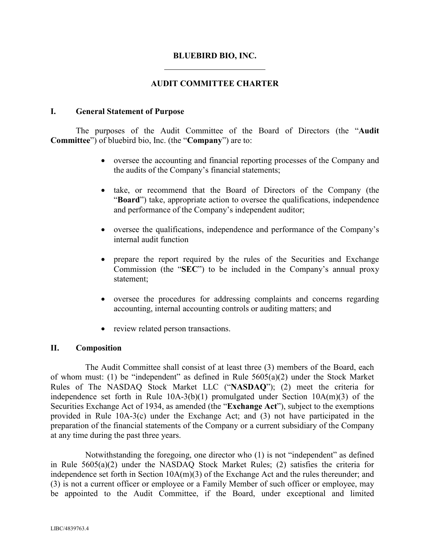#### **BLUEBIRD BIO, INC.**

### **AUDIT COMMITTEE CHARTER**

#### **I. General Statement of Purpose**

The purposes of the Audit Committee of the Board of Directors (the "**Audit Committee**") of bluebird bio, Inc. (the "**Company**") are to:

- oversee the accounting and financial reporting processes of the Company and the audits of the Company's financial statements;
- take, or recommend that the Board of Directors of the Company (the "**Board**") take, appropriate action to oversee the qualifications, independence and performance of the Company's independent auditor;
- oversee the qualifications, independence and performance of the Company's internal audit function
- prepare the report required by the rules of the Securities and Exchange Commission (the "**SEC**") to be included in the Company's annual proxy statement;
- oversee the procedures for addressing complaints and concerns regarding accounting, internal accounting controls or auditing matters; and
- review related person transactions.

#### **II. Composition**

The Audit Committee shall consist of at least three (3) members of the Board, each of whom must: (1) be "independent" as defined in Rule 5605(a)(2) under the Stock Market Rules of The NASDAQ Stock Market LLC ("**NASDAQ**"); (2) meet the criteria for independence set forth in Rule 10A-3(b)(1) promulgated under Section 10A(m)(3) of the Securities Exchange Act of 1934, as amended (the "**Exchange Act**"), subject to the exemptions provided in Rule 10A-3(c) under the Exchange Act; and (3) not have participated in the preparation of the financial statements of the Company or a current subsidiary of the Company at any time during the past three years.

Notwithstanding the foregoing, one director who (1) is not "independent" as defined in Rule 5605(a)(2) under the NASDAQ Stock Market Rules; (2) satisfies the criteria for independence set forth in Section 10A(m)(3) of the Exchange Act and the rules thereunder; and (3) is not a current officer or employee or a Family Member of such officer or employee, may be appointed to the Audit Committee, if the Board, under exceptional and limited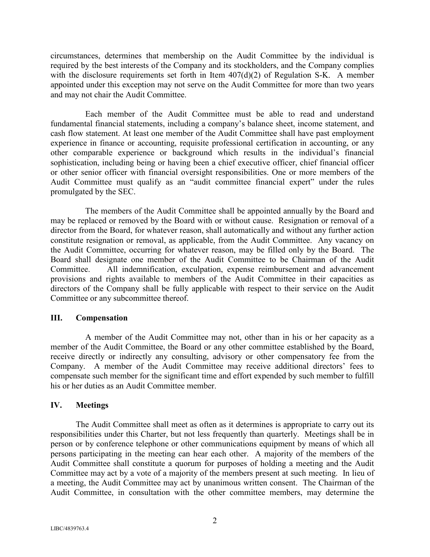circumstances, determines that membership on the Audit Committee by the individual is required by the best interests of the Company and its stockholders, and the Company complies with the disclosure requirements set forth in Item  $407(d)(2)$  of Regulation S-K. A member appointed under this exception may not serve on the Audit Committee for more than two years and may not chair the Audit Committee.

Each member of the Audit Committee must be able to read and understand fundamental financial statements, including a company's balance sheet, income statement, and cash flow statement. At least one member of the Audit Committee shall have past employment experience in finance or accounting, requisite professional certification in accounting, or any other comparable experience or background which results in the individual's financial sophistication, including being or having been a chief executive officer, chief financial officer or other senior officer with financial oversight responsibilities. One or more members of the Audit Committee must qualify as an "audit committee financial expert" under the rules promulgated by the SEC.

The members of the Audit Committee shall be appointed annually by the Board and may be replaced or removed by the Board with or without cause. Resignation or removal of a director from the Board, for whatever reason, shall automatically and without any further action constitute resignation or removal, as applicable, from the Audit Committee. Any vacancy on the Audit Committee, occurring for whatever reason, may be filled only by the Board. The Board shall designate one member of the Audit Committee to be Chairman of the Audit Committee. All indemnification, exculpation, expense reimbursement and advancement provisions and rights available to members of the Audit Committee in their capacities as directors of the Company shall be fully applicable with respect to their service on the Audit Committee or any subcommittee thereof.

#### **III. Compensation**

A member of the Audit Committee may not, other than in his or her capacity as a member of the Audit Committee, the Board or any other committee established by the Board, receive directly or indirectly any consulting, advisory or other compensatory fee from the Company. A member of the Audit Committee may receive additional directors' fees to compensate such member for the significant time and effort expended by such member to fulfill his or her duties as an Audit Committee member.

#### **IV. Meetings**

The Audit Committee shall meet as often as it determines is appropriate to carry out its responsibilities under this Charter, but not less frequently than quarterly. Meetings shall be in person or by conference telephone or other communications equipment by means of which all persons participating in the meeting can hear each other. A majority of the members of the Audit Committee shall constitute a quorum for purposes of holding a meeting and the Audit Committee may act by a vote of a majority of the members present at such meeting. In lieu of a meeting, the Audit Committee may act by unanimous written consent. The Chairman of the Audit Committee, in consultation with the other committee members, may determine the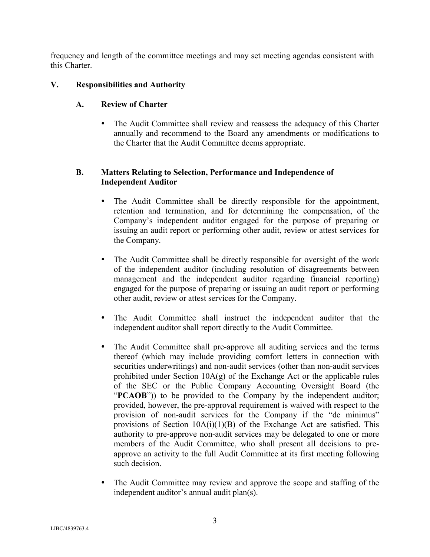frequency and length of the committee meetings and may set meeting agendas consistent with this Charter.

# **V. Responsibilities and Authority**

# **A. Review of Charter**

• The Audit Committee shall review and reassess the adequacy of this Charter annually and recommend to the Board any amendments or modifications to the Charter that the Audit Committee deems appropriate.

# **B. Matters Relating to Selection, Performance and Independence of Independent Auditor**

- The Audit Committee shall be directly responsible for the appointment, retention and termination, and for determining the compensation, of the Company's independent auditor engaged for the purpose of preparing or issuing an audit report or performing other audit, review or attest services for the Company.
- The Audit Committee shall be directly responsible for oversight of the work of the independent auditor (including resolution of disagreements between management and the independent auditor regarding financial reporting) engaged for the purpose of preparing or issuing an audit report or performing other audit, review or attest services for the Company.
- The Audit Committee shall instruct the independent auditor that the independent auditor shall report directly to the Audit Committee.
- The Audit Committee shall pre-approve all auditing services and the terms thereof (which may include providing comfort letters in connection with securities underwritings) and non-audit services (other than non-audit services prohibited under Section  $10A(g)$  of the Exchange Act or the applicable rules of the SEC or the Public Company Accounting Oversight Board (the "**PCAOB**")) to be provided to the Company by the independent auditor; provided, however, the pre-approval requirement is waived with respect to the provision of non-audit services for the Company if the "de minimus" provisions of Section  $10A(i)(1)(B)$  of the Exchange Act are satisfied. This authority to pre-approve non-audit services may be delegated to one or more members of the Audit Committee, who shall present all decisions to preapprove an activity to the full Audit Committee at its first meeting following such decision.
- The Audit Committee may review and approve the scope and staffing of the independent auditor's annual audit plan(s).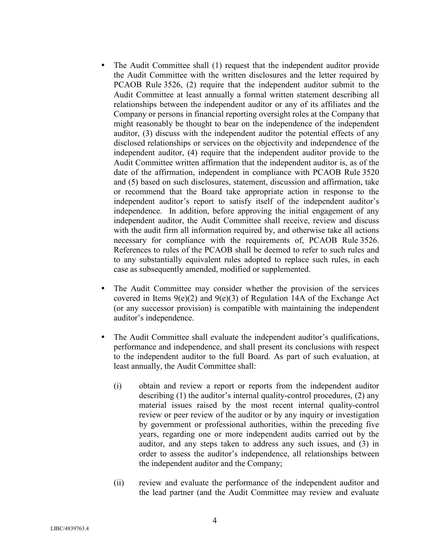- The Audit Committee shall (1) request that the independent auditor provide the Audit Committee with the written disclosures and the letter required by PCAOB Rule 3526, (2) require that the independent auditor submit to the Audit Committee at least annually a formal written statement describing all relationships between the independent auditor or any of its affiliates and the Company or persons in financial reporting oversight roles at the Company that might reasonably be thought to bear on the independence of the independent auditor, (3) discuss with the independent auditor the potential effects of any disclosed relationships or services on the objectivity and independence of the independent auditor, (4) require that the independent auditor provide to the Audit Committee written affirmation that the independent auditor is, as of the date of the affirmation, independent in compliance with PCAOB Rule 3520 and (5) based on such disclosures, statement, discussion and affirmation, take or recommend that the Board take appropriate action in response to the independent auditor's report to satisfy itself of the independent auditor's independence. In addition, before approving the initial engagement of any independent auditor, the Audit Committee shall receive, review and discuss with the audit firm all information required by, and otherwise take all actions necessary for compliance with the requirements of, PCAOB Rule 3526. References to rules of the PCAOB shall be deemed to refer to such rules and to any substantially equivalent rules adopted to replace such rules, in each case as subsequently amended, modified or supplemented.
- The Audit Committee may consider whether the provision of the services covered in Items  $9(e)(2)$  and  $9(e)(3)$  of Regulation 14A of the Exchange Act (or any successor provision) is compatible with maintaining the independent auditor's independence.
- The Audit Committee shall evaluate the independent auditor's qualifications, performance and independence, and shall present its conclusions with respect to the independent auditor to the full Board. As part of such evaluation, at least annually, the Audit Committee shall:
	- (i) obtain and review a report or reports from the independent auditor describing (1) the auditor's internal quality-control procedures, (2) any material issues raised by the most recent internal quality-control review or peer review of the auditor or by any inquiry or investigation by government or professional authorities, within the preceding five years, regarding one or more independent audits carried out by the auditor, and any steps taken to address any such issues, and (3) in order to assess the auditor's independence, all relationships between the independent auditor and the Company;
	- (ii) review and evaluate the performance of the independent auditor and the lead partner (and the Audit Committee may review and evaluate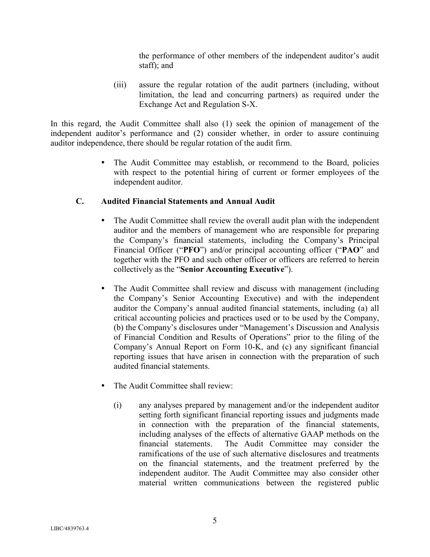the performance of other members of the independent auditor's audit staff); and

(iii) assure the regular rotation of the audit partners (including, without limitation, the lead and concurring partners) as required under the Exchange Act and Regulation S-X.

In this regard, the Audit Committee shall also (1) seek the opinion of management of the independent auditor's performance and (2) consider whether, in order to assure continuing auditor independence, there should be regular rotation of the audit firm.

> • The Audit Committee may establish, or recommend to the Board, policies with respect to the potential hiring of current or former employees of the independent auditor.

### **C. Audited Financial Statements and Annual Audit**

- The Audit Committee shall review the overall audit plan with the independent auditor and the members of management who are responsible for preparing the Company's financial statements, including the Company's Principal Financial Officer ("**PFO**") and/or principal accounting officer ("**PAO**" and together with the PFO and such other officer or officers are referred to herein collectively as the "**Senior Accounting Executive**").
- The Audit Committee shall review and discuss with management (including the Company's Senior Accounting Executive) and with the independent auditor the Company's annual audited financial statements, including (a) all critical accounting policies and practices used or to be used by the Company, (b) the Company's disclosures under "Management's Discussion and Analysis of Financial Condition and Results of Operations" prior to the filing of the Company's Annual Report on Form 10-K, and (c) any significant financial reporting issues that have arisen in connection with the preparation of such audited financial statements.
- The Audit Committee shall review:
	- (i) any analyses prepared by management and/or the independent auditor setting forth significant financial reporting issues and judgments made in connection with the preparation of the financial statements, including analyses of the effects of alternative GAAP methods on the financial statements. The Audit Committee may consider the ramifications of the use of such alternative disclosures and treatments on the financial statements, and the treatment preferred by the independent auditor. The Audit Committee may also consider other material written communications between the registered public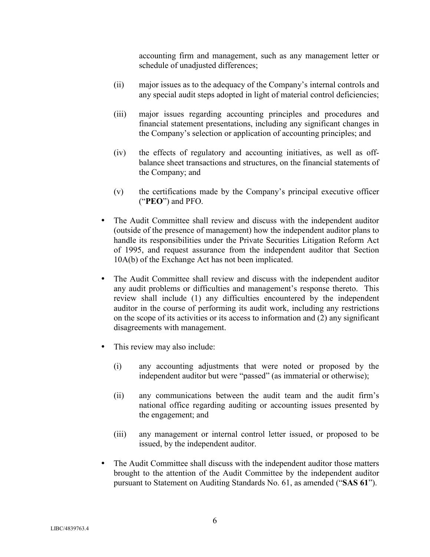accounting firm and management, such as any management letter or schedule of unadjusted differences;

- (ii) major issues as to the adequacy of the Company's internal controls and any special audit steps adopted in light of material control deficiencies;
- (iii) major issues regarding accounting principles and procedures and financial statement presentations, including any significant changes in the Company's selection or application of accounting principles; and
- (iv) the effects of regulatory and accounting initiatives, as well as offbalance sheet transactions and structures, on the financial statements of the Company; and
- (v) the certifications made by the Company's principal executive officer ("**PEO**") and PFO.
- The Audit Committee shall review and discuss with the independent auditor (outside of the presence of management) how the independent auditor plans to handle its responsibilities under the Private Securities Litigation Reform Act of 1995, and request assurance from the independent auditor that Section 10A(b) of the Exchange Act has not been implicated.
- The Audit Committee shall review and discuss with the independent auditor any audit problems or difficulties and management's response thereto. This review shall include (1) any difficulties encountered by the independent auditor in the course of performing its audit work, including any restrictions on the scope of its activities or its access to information and (2) any significant disagreements with management.
- This review may also include:
	- (i) any accounting adjustments that were noted or proposed by the independent auditor but were "passed" (as immaterial or otherwise);
	- (ii) any communications between the audit team and the audit firm's national office regarding auditing or accounting issues presented by the engagement; and
	- (iii) any management or internal control letter issued, or proposed to be issued, by the independent auditor.
- The Audit Committee shall discuss with the independent auditor those matters brought to the attention of the Audit Committee by the independent auditor pursuant to Statement on Auditing Standards No. 61, as amended ("**SAS 61**").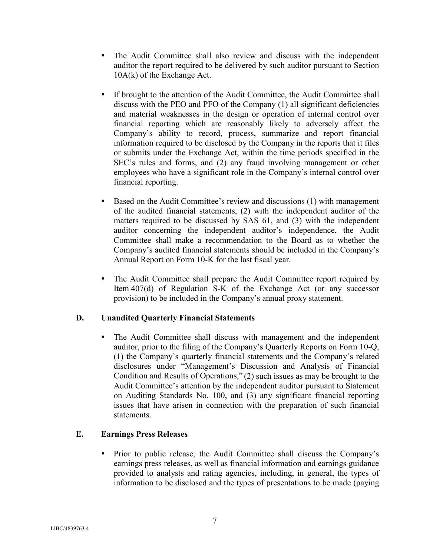- The Audit Committee shall also review and discuss with the independent auditor the report required to be delivered by such auditor pursuant to Section 10A(k) of the Exchange Act.
- If brought to the attention of the Audit Committee, the Audit Committee shall discuss with the PEO and PFO of the Company (1) all significant deficiencies and material weaknesses in the design or operation of internal control over financial reporting which are reasonably likely to adversely affect the Company's ability to record, process, summarize and report financial information required to be disclosed by the Company in the reports that it files or submits under the Exchange Act, within the time periods specified in the SEC's rules and forms, and (2) any fraud involving management or other employees who have a significant role in the Company's internal control over financial reporting.
- Based on the Audit Committee's review and discussions (1) with management of the audited financial statements, (2) with the independent auditor of the matters required to be discussed by SAS 61, and (3) with the independent auditor concerning the independent auditor's independence, the Audit Committee shall make a recommendation to the Board as to whether the Company's audited financial statements should be included in the Company's Annual Report on Form 10-K for the last fiscal year.
- The Audit Committee shall prepare the Audit Committee report required by Item 407(d) of Regulation S-K of the Exchange Act (or any successor provision) to be included in the Company's annual proxy statement.

# **D. Unaudited Quarterly Financial Statements**

 The Audit Committee shall discuss with management and the independent auditor, prior to the filing of the Company's Quarterly Reports on Form 10-Q, (1) the Company's quarterly financial statements and the Company's related disclosures under "Management's Discussion and Analysis of Financial Condition and Results of Operations," (2) such issues as may be brought to the Audit Committee's attention by the independent auditor pursuant to Statement on Auditing Standards No. 100, and (3) any significant financial reporting issues that have arisen in connection with the preparation of such financial statements.

# **E. Earnings Press Releases**

 Prior to public release, the Audit Committee shall discuss the Company's earnings press releases, as well as financial information and earnings guidance provided to analysts and rating agencies, including, in general, the types of information to be disclosed and the types of presentations to be made (paying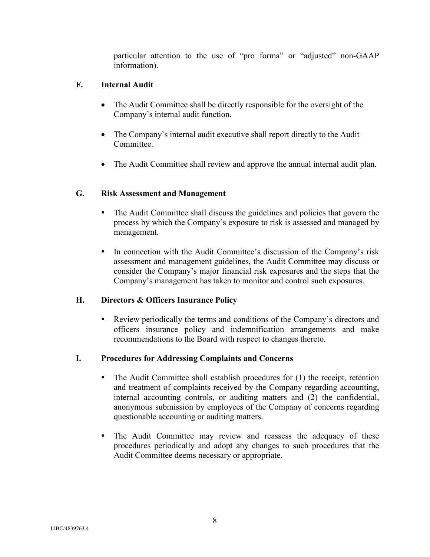particular attention to the use of "pro forma" or "adjusted" non-GAAP information).

# **F. Internal Audit**

- The Audit Committee shall be directly responsible for the oversight of the Company's internal audit function.
- The Company's internal audit executive shall report directly to the Audit Committee.
- The Audit Committee shall review and approve the annual internal audit plan.

# **G. Risk Assessment and Management**

- The Audit Committee shall discuss the guidelines and policies that govern the process by which the Company's exposure to risk is assessed and managed by management.
- In connection with the Audit Committee's discussion of the Company's risk assessment and management guidelines, the Audit Committee may discuss or consider the Company's major financial risk exposures and the steps that the Company's management has taken to monitor and control such exposures.

# **H. Directors & Officers Insurance Policy**

 Review periodically the terms and conditions of the Company's directors and officers insurance policy and indemnification arrangements and make recommendations to the Board with respect to changes thereto.

# **I. Procedures for Addressing Complaints and Concerns**

- The Audit Committee shall establish procedures for (1) the receipt, retention and treatment of complaints received by the Company regarding accounting, internal accounting controls, or auditing matters and (2) the confidential, anonymous submission by employees of the Company of concerns regarding questionable accounting or auditing matters.
- The Audit Committee may review and reassess the adequacy of these procedures periodically and adopt any changes to such procedures that the Audit Committee deems necessary or appropriate.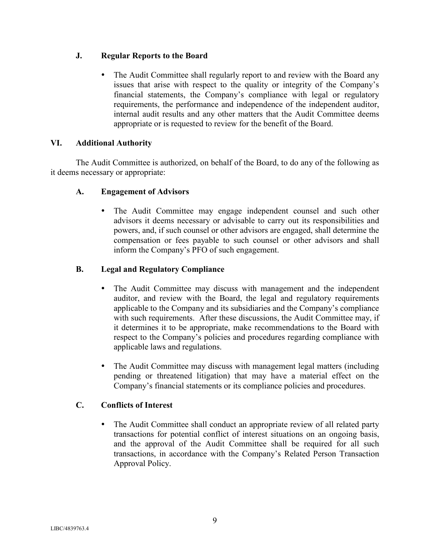# **J. Regular Reports to the Board**

 The Audit Committee shall regularly report to and review with the Board any issues that arise with respect to the quality or integrity of the Company's financial statements, the Company's compliance with legal or regulatory requirements, the performance and independence of the independent auditor, internal audit results and any other matters that the Audit Committee deems appropriate or is requested to review for the benefit of the Board.

# **VI. Additional Authority**

The Audit Committee is authorized, on behalf of the Board, to do any of the following as it deems necessary or appropriate:

# **A. Engagement of Advisors**

 The Audit Committee may engage independent counsel and such other advisors it deems necessary or advisable to carry out its responsibilities and powers, and, if such counsel or other advisors are engaged, shall determine the compensation or fees payable to such counsel or other advisors and shall inform the Company's PFO of such engagement.

# **B. Legal and Regulatory Compliance**

- The Audit Committee may discuss with management and the independent auditor, and review with the Board, the legal and regulatory requirements applicable to the Company and its subsidiaries and the Company's compliance with such requirements. After these discussions, the Audit Committee may, if it determines it to be appropriate, make recommendations to the Board with respect to the Company's policies and procedures regarding compliance with applicable laws and regulations.
- The Audit Committee may discuss with management legal matters (including pending or threatened litigation) that may have a material effect on the Company's financial statements or its compliance policies and procedures.

# **C. Conflicts of Interest**

 The Audit Committee shall conduct an appropriate review of all related party transactions for potential conflict of interest situations on an ongoing basis, and the approval of the Audit Committee shall be required for all such transactions, in accordance with the Company's Related Person Transaction Approval Policy.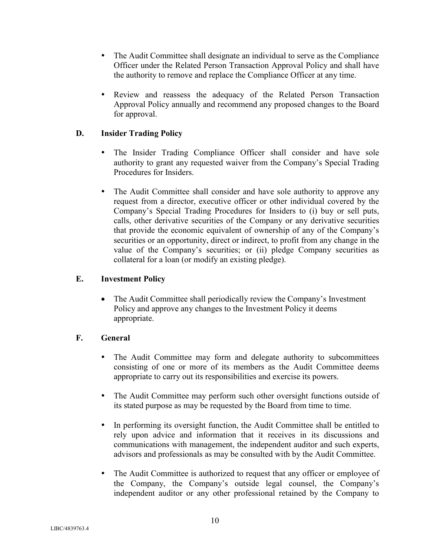- The Audit Committee shall designate an individual to serve as the Compliance Officer under the Related Person Transaction Approval Policy and shall have the authority to remove and replace the Compliance Officer at any time.
- Review and reassess the adequacy of the Related Person Transaction Approval Policy annually and recommend any proposed changes to the Board for approval.

# **D. Insider Trading Policy**

- The Insider Trading Compliance Officer shall consider and have sole authority to grant any requested waiver from the Company's Special Trading Procedures for Insiders.
- The Audit Committee shall consider and have sole authority to approve any request from a director, executive officer or other individual covered by the Company's Special Trading Procedures for Insiders to (i) buy or sell puts, calls, other derivative securities of the Company or any derivative securities that provide the economic equivalent of ownership of any of the Company's securities or an opportunity, direct or indirect, to profit from any change in the value of the Company's securities; or (ii) pledge Company securities as collateral for a loan (or modify an existing pledge).

# **E. Investment Policy**

• The Audit Committee shall periodically review the Company's Investment Policy and approve any changes to the Investment Policy it deems appropriate.

# **F. General**

- The Audit Committee may form and delegate authority to subcommittees consisting of one or more of its members as the Audit Committee deems appropriate to carry out its responsibilities and exercise its powers.
- The Audit Committee may perform such other oversight functions outside of its stated purpose as may be requested by the Board from time to time.
- In performing its oversight function, the Audit Committee shall be entitled to rely upon advice and information that it receives in its discussions and communications with management, the independent auditor and such experts, advisors and professionals as may be consulted with by the Audit Committee.
- The Audit Committee is authorized to request that any officer or employee of the Company, the Company's outside legal counsel, the Company's independent auditor or any other professional retained by the Company to